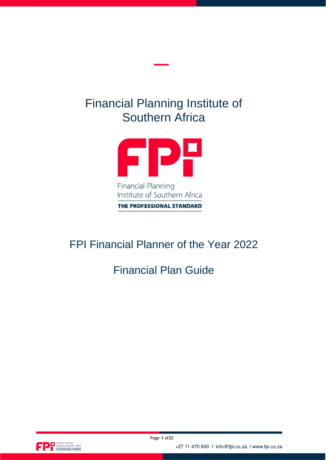# Financial Planning Institute of Southern Africa



# FPI Financial Planner of the Year 2022

# Financial Plan Guide



+27 11 470 600 | info@fpi.co.za | www.fpi.co.za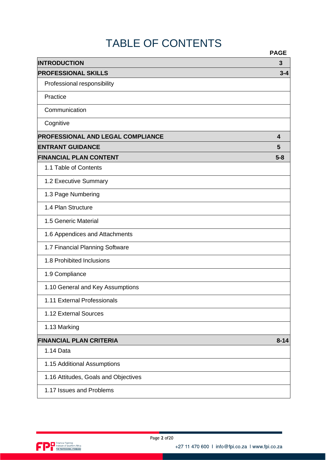# TABLE OF CONTENTS

|                                          | <b>PAGE</b> |
|------------------------------------------|-------------|
| <b>INTRODUCTION</b>                      | 3           |
| <b>PROFESSIONAL SKILLS</b>               | $3 - 4$     |
| Professional responsibility              |             |
| Practice                                 |             |
| Communication                            |             |
| Cognitive                                |             |
| <b>PROFESSIONAL AND LEGAL COMPLIANCE</b> | 4           |
| <b>ENTRANT GUIDANCE</b>                  | 5           |
| <b>FINANCIAL PLAN CONTENT</b>            | $5 - 8$     |
| 1.1 Table of Contents                    |             |
| 1.2 Executive Summary                    |             |
| 1.3 Page Numbering                       |             |
| 1.4 Plan Structure                       |             |
| 1.5 Generic Material                     |             |
| 1.6 Appendices and Attachments           |             |
| 1.7 Financial Planning Software          |             |
| 1.8 Prohibited Inclusions                |             |
| 1.9 Compliance                           |             |
| 1.10 General and Key Assumptions         |             |
| 1.11 External Professionals              |             |
| 1.12 External Sources                    |             |
| 1.13 Marking                             |             |
| <b>FINANCIAL PLAN CRITERIA</b>           | $8 - 14$    |
| 1.14 Data                                |             |
| 1.15 Additional Assumptions              |             |
| 1.16 Attitudes, Goals and Objectives     |             |
| 1.17 Issues and Problems                 |             |

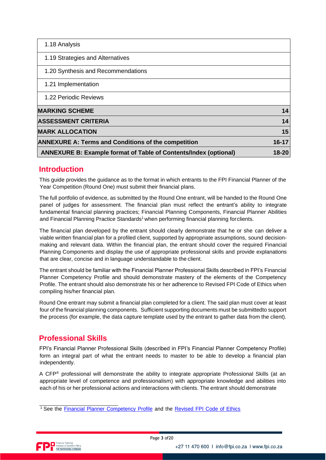| 1.18 Analysis                                                           |           |
|-------------------------------------------------------------------------|-----------|
| 1.19 Strategies and Alternatives                                        |           |
| 1.20 Synthesis and Recommendations                                      |           |
| 1.21 Implementation                                                     |           |
| 1.22 Periodic Reviews                                                   |           |
| <b>MARKING SCHEME</b>                                                   | 14        |
| <b>ASSESSMENT CRITERIA</b>                                              | 14        |
| <b>MARK ALLOCATION</b>                                                  | 15        |
| <b>ANNEXURE A: Terms and Conditions of the competition</b>              | $16 - 17$ |
| <b>ANNEXURE B: Example format of Table of Contents/Index (optional)</b> | 18-20     |

## **Introduction**

This guide provides the guidance as to the format in which entrants to the FPI Financial Planner of the Year Competition (Round One) must submit their financial plans.

The full portfolio of evidence, as submitted by the Round One entrant, will be handed to the Round One panel of judges for assessment. The financial plan must reflect the entrant's ability to *integrate* fundamental financial planning practices; Financial Planning Components, Financial Planner Abilities and Financial Planning Practice Standards<sup>1</sup> when performing financial planning forclients.

The financial plan developed by the entrant should clearly demonstrate that he or she can deliver a viable written financial plan for a profiled client, supported by appropriate assumptions, sound decisionmaking and relevant data. Within the financial plan, the entrant should cover the required Financial Planning Components and display the use of appropriate professional skills and provide explanations that are clear, concise and in language understandable to the client.

The entrant should be familiar with the Financial Planner Professional Skills described in FPI's Financial Planner Competency Profile and should demonstrate mastery of the elements of the Competency Profile. The entrant should also demonstrate his or her adherence to Revised FPI Code of Ethics when compiling his/her financial plan.

Round One entrant may submit a financial plan completed for a client. The said plan must cover at least four of the financial planning components. Sufficient supporting documents must be submittedto support the process (for example, the data capture template used by the entrant to gather data from the client).

# **Professional Skills**

FPI's Financial Planner Professional Skills (described in FPI's Financial Planner Competency Profile) form an integral part of what the entrant needs to master to be able to develop a financial plan independently.

A CFP® professional will demonstrate the ability to integrate appropriate Professional Skills (at an appropriate level of competence and professionalism) with appropriate knowledge and abilities into each of his or her professional actions and interactions with clients. The entrant should demonstrate



<sup>&</sup>lt;sup>1</sup> See the Financial Planner [Competency](https://fpi.co.za/wp-content/uploads/2022/03/Financial-Planner-COmpetency-Profile.pdf) Profile [an](https://www.fpi.co.za/iMIS/Documents/Competency_Profile.pdf)d the [Revised](https://fpi.co.za/wp-content/uploads/2022/03/CODE_OF_ETHICS_AND_PROFESIONAL_RESPONSIBILITY.pdf) FPI Code of Ethics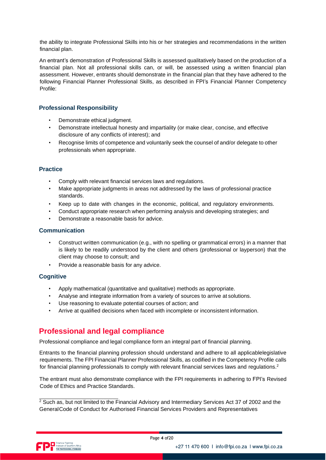the ability to integrate Professional Skills into his or her strategies and recommendations in the written financial plan.

An entrant's demonstration of Professional Skills is assessed qualitatively based on the production of a financial plan. Not all professional skills can, or will, be assessed using a written financial plan assessment. However, entrants should demonstrate in the financial plan that they have adhered to the following Financial Planner Professional Skills, as described in FPI's Financial Planner Competency Profile:

## **Professional Responsibility**

- Demonstrate ethical judgment.
- Demonstrate intellectual honesty and impartiality (or make clear, concise, and effective disclosure of any conflicts of interest); and
- Recognise limits of competence and voluntarily seek the counsel of and/or delegate to other professionals when appropriate.

## **Practice**

- Comply with relevant financial services laws and regulations.
- Make appropriate judgments in areas not addressed by the laws of professional practice standards.
- Keep up to date with changes in the economic, political, and regulatory environments.
- Conduct appropriate research when performing analysis and developing strategies; and
- Demonstrate a reasonable basis for advice.

#### **Communication**

- Construct written communication (e.g., with no spelling or grammatical errors) in a manner that is likely to be readily understood by the client and others (professional or layperson) that the client may choose to consult; and
- Provide a reasonable basis for any advice.

#### **Cognitive**

- Apply mathematical (quantitative and qualitative) methods as appropriate.
- Analyse and integrate information from a variety of sources to arrive at solutions.
- Use reasoning to evaluate potential courses of action; and
- Arrive at qualified decisions when faced with incomplete or inconsistent information.

## **Professional and legal compliance**

Professional compliance and legal compliance form an integral part of financial planning.

Entrants to the financial planning profession should understand and adhere to all applicablelegislative requirements. The FPI Financial Planner Professional Skills, as codified in the Competency Profile calls for financial planning professionals to comply with relevant financial services laws and regulations.<sup>2</sup>

The entrant must also demonstrate compliance with the FPI requirements in adhering to FPI's Revised Code of Ethics and Practice Standards.

 $2$  Such as, but not limited to the Financial Advisory and Intermediary Services Act 37 of 2002 and the GeneralCode of Conduct for Authorised Financial Services Providers and Representatives

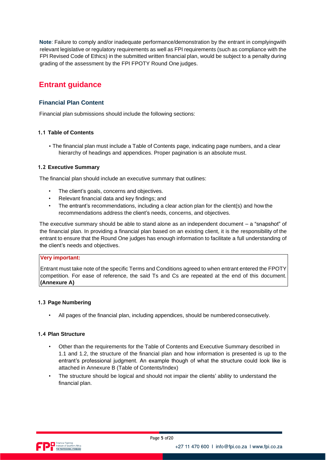**Note**: Failure to comply and/or inadequate performance/demonstration by the entrant in complyingwith relevant legislative or regulatory requirements as well as FPI requirements (such as compliance with the FPI Revised Code of Ethics) in the submitted written financial plan, would be subject to a penalty during grading of the assessment by the FPI FPOTY Round One judges.

# **Entrant guidance**

## **Financial Plan Content**

Financial plan submissions should include the following sections:

## **1.1 Table of Contents**

• The financial plan must include a Table of Contents page, indicating page numbers, and a clear hierarchy of headings and appendices. Proper pagination is an absolute must.

## **1.2 Executive Summary**

The financial plan should include an executive summary that outlines:

- The client's goals, concerns and objectives.
- Relevant financial data and key findings; and
- The entrant's recommendations, including a clear action plan for the client(s) and how the recommendations address the client's needs, concerns, and objectives.

The executive summary should be able to stand alone as an independent document – a "snapshot" of the financial plan. In providing a financial plan based on an existing client, it is the responsibility of the entrant to ensure that the Round One judges has enough information to facilitate a full understanding of the client's needs and objectives.

#### **Very important:**

*Entrant must take note of the specific Terms and Conditions agreed to when entrant entered the FPOTY competition. For ease of reference, the said Ts and Cs are repeated at the end of this document. (Annexure A)*

#### **1.3 Page Numbering**

• All pages of the financial plan, including appendices, should be numberedconsecutively.

## **1.4 Plan Structure**

- Other than the requirements for the Table of Contents and Executive Summary described in 1.1 and 1.2, the structure of the financial plan and how information is presented is up to the entrant's professional judgment. An example though of what the structure could look like is attached in Annexure B (Table of Contents/Index)
- The structure should be logical and should not impair the clients' ability to understand the financial plan.

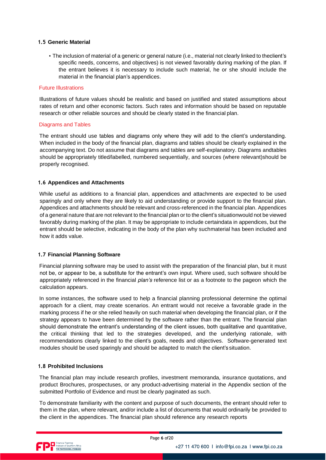#### **1.5 Generic Material**

• The inclusion of material of a *generic* or general nature (i.e., material not clearly linked to theclient's specific needs, concerns, and objectives) is not viewed favorably during marking of the plan. If the entrant believes it is necessary to include such material, he or she should include the material in the financial plan's appendices.

#### *Future Illustrations*

Illustrations of future values should be realistic and based on justified and stated assumptions about rates of return and other economic factors. Such rates and information should be based on reputable research or other reliable sources and should be clearly stated in the financial plan.

#### *Diagrams and Tables*

The entrant should use tables and diagrams only where they will add to the client's understanding. When included in the body of the financial plan, diagrams and tables should be clearly explained in the accompanying text. Do not assume that diagrams and tables are self-explanatory. Diagrams andtables should be appropriately titled/labelled, numbered sequentially, and sources (where relevant)should be properly recognised.

#### **1.6 Appendices and Attachments**

While useful as additions to a financial plan, appendices and attachments are expected to be used sparingly and only where they are likely to aid understanding or provide support to the financial plan. Appendices and attachments should be relevant and cross-referenced in the financial plan. Appendices of a general nature that are not relevant to the financial plan or to the client's situationwould not be viewed favorably during marking of the plan. It may be appropriate to include certaindata in appendices, but the entrant should be selective, indicating in the body of the plan why suchmaterial has been included and how it adds value.

#### **1.7 Financial Planning Software**

Financial planning software may be used to assist with the preparation of the financial plan, but it must not be, or appear to be, a substitute for the entrant's *own* input. *Where used, such software should be appropriately referenced in the financial plan's reference list or as a footnote to the pageon which the calculation appears.*

In some instances, the software used to help a financial planning professional determine the optimal approach for a client, may create scenarios. An entrant would not receive a favorable grade in the marking process if he or she relied *heavily* on such material when developing the financial plan, or if the strategy appears to have been determined by the software rather than the entrant. The financial plan should demonstrate the entrant's understanding of the client issues, both qualitative and quantitative, the critical thinking that led to the strategies developed, and the underlying rationale, with recommendations clearly linked to the client's goals, needs and objectives. Software-generated text modules should be used sparingly and should be adapted to match the client's situation.

#### **1.8 Prohibited Inclusions**

The financial plan may include research profiles, investment memoranda, insurance quotations, and product Brochures, prospectuses, or any product-advertising material in the Appendix section of the submitted Portfolio of Evidence and must be clearly paginated as such.

To demonstrate familiarity with the content and purpose of such documents, the entrant should refer to them in the plan, where relevant, and/or include a list of documents that would ordinarily be provided to the client in the appendices. The financial plan should reference any research reports

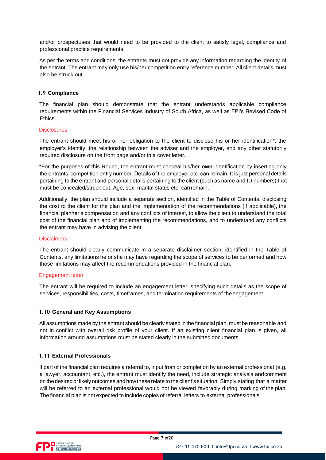and/or prospectuses that would need to be provided to the client to satisfy legal, compliance and professional practice requirements.

As per the terms and conditions, the entrants must not provide any information regarding the identity of the entrant. The entrant may only use his/her competition entry reference number. All client details must also be struck out.

#### **1.9 Compliance**

The financial plan should demonstrate that the entrant understands applicable compliance requirements within the Financial Services Industry of South Africa, as well as FPI's Revised Code of Ethics.

#### *Disclosures*

The entrant should meet his or her obligation to the client to disclose his or her identification\*, the employer's identity, the relationship between the adviser and the employer, and any other statutorily required disclosure on the front page and/or in a cover letter.

\*For the purposes of this Round, the entrant must conceal his/her **own** identification by inserting only the entrants' competition entry number. Details of the employer etc. can remain. It is just *personal details* pertaining to the entrant and *personal details* pertaining to the client (such as name and ID numbers) that must be concealed/struck out. Age, sex, marital status etc. canremain.

Additionally, the plan should include a separate section, identified in the Table of Contents, disclosing the cost to the client for the plan and the implementation of the recommendations (if applicable), the financial planner's compensation and any conflicts of interest, to allow the client to understand the total cost of the financial plan and of implementing the recommendations, and to understand any conflicts the entrant may have in advising the client.

#### *Disclaimers*

The entrant should clearly communicate in a separate disclaimer section, identified in the Table of Contents, any limitations he or she may have regarding the scope of services to be performed and how those limitations may affect the recommendations provided in the financial plan.

#### *Engagement letter*

The entrant will be required to include an engagement letter, specifying such details as the scope of services, responsibilities, costs, timeframes, and termination requirements of theengagement.

#### **1.10 General and Key Assumptions**

All assumptions made by the entrant should be clearly stated in the financial plan, must be reasonable and not in conflict with overall risk profile of your client. If an existing client financial plan is given, all information around assumptions must be stated clearly in the submitted documents.

#### **1.11 External Professionals**

If part of the financial plan requires a referral to, input from or completion by an external professional (e.g. a lawyer, accountant, etc.), the entrant must identify the need, include strategic analysis andcomment on the desiredorlikely outcomes and how these relate to the client's situation. Simply stating that a matter will be referred to an external professional would not be viewed favorably during marking of the plan. The financial plan is not expected to include copies of referral letters to external professionals.

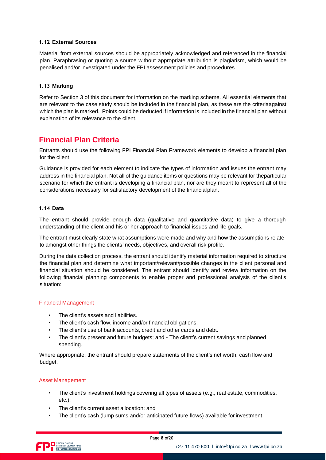#### **1.12 External Sources**

Material from external sources should be appropriately acknowledged and referenced in the financial plan. Paraphrasing or quoting a source without appropriate attribution is plagiarism, which would be penalised and/or investigated under the FPI assessment policies and procedures.

#### **1.13 Marking**

Refer to Section 3 of this document for information on the marking scheme. All essential elements that are relevant to the case study should be included in the financial plan, as these are the criteriaagainst which the plan is marked. Points could be deducted if information is included in the financial plan without explanation of its relevance to the client.

# **Financial Plan Criteria**

Entrants should use the following FPI Financial Plan Framework elements to develop a financial plan for the client.

Guidance is provided for each element to indicate the types of information and issues the entrant may address in the financial plan. Not all of the guidance items or questions may be relevant for theparticular scenario for which the entrant is developing a financial plan, nor are they meant to represent all of the considerations necessary for satisfactory development of the financialplan.

### **1.14 Data**

The entrant should provide enough data (qualitative and quantitative data) to give a thorough understanding of the client and his or her approach to financial issues and life goals.

The entrant must clearly state what assumptions were made and why and how the assumptions relate to amongst other things the clients' needs, objectives, and overall risk profile.

During the data collection process, the entrant should identify material information required to structure the financial plan and determine what important/relevant/possible changes in the client personal and financial situation should be considered. The entrant should identify and review information on the following financial planning components to enable proper and professional analysis of the client's situation:

#### Financial Management

- The client's assets and liabilities.
- The client's cash flow, income and/or financial obligations.
- The client's use of bank accounts, credit and other cards and debt.
- The client's present and future budgets; and  $\cdot$  The client's current savings and planned spending.

Where appropriate, the entrant should prepare statements of the client's net worth, cash flow and budget.

#### Asset Management

- The client's investment holdings covering all types of assets (e.g., real estate, commodities, etc.);
- The client's current asset allocation; and
- The client's cash (lump sums and/or anticipated future flows) available for investment.

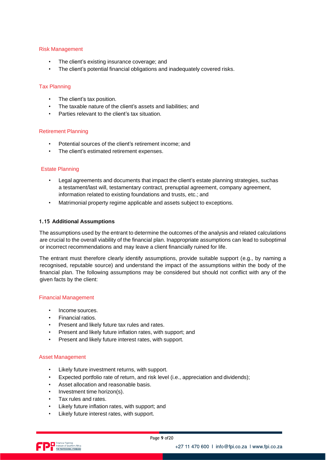#### Risk Management

- The client's existing insurance coverage; and
- The client's potential financial obligations and inadequately covered risks.

#### Tax Planning

- The client's tax position.
- The taxable nature of the client's assets and liabilities; and
- Parties relevant to the client's tax situation.

#### Retirement Planning

- Potential sources of the client's retirement income; and
- The client's estimated retirement expenses.

#### Estate Planning

- Legal agreements and documents that impact the client's estate planning strategies, suchas a testament/last will, testamentary contract, prenuptial agreement, company agreement, information related to existing foundations and trusts, etc.; and
- Matrimonial property regime applicable and assets subject to exceptions.

#### **1.15 Additional Assumptions**

The assumptions used by the entrant to determine the outcomes of the analysis and related calculations are crucial to the overall viability of the financial plan. Inappropriate assumptions can lead to suboptimal or incorrect recommendations and may leave a client financially ruined for life.

The entrant must therefore clearly identify assumptions, provide suitable support (e.g., by naming a recognised, reputable source) and understand the impact of the assumptions within the body of the financial plan. The following assumptions may be considered but should not conflict with any of the given facts by the client:

#### Financial Management

- Income sources.
- Financial ratios.
- Present and likely future tax rules and rates.
- Present and likely future inflation rates, with support; and
- Present and likely future interest rates, with support.

#### Asset Management

- Likely future investment returns, with support.
- Expected portfolio rate of return, and risk level (i.e., appreciation and dividends);
- Asset allocation and reasonable basis.
- Investment time horizon(s).
- Tax rules and rates.
- Likely future inflation rates, with support; and
- Likely future interest rates, with support.

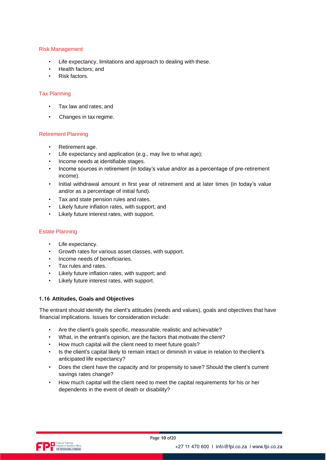#### Risk Management

- Life expectancy, limitations and approach to dealing with these.
- Health factors; and
- Risk factors.

#### Tax Planning

- Tax law and rates; and
- Changes in tax regime.

#### Retirement Planning

- Retirement age.
- Life expectancy and application (e.g., may live to what age);
- Income needs at identifiable stages.
- Income sources in retirement (in today's value and/or as a percentage of pre-retirement income).
- Initial withdrawal amount in first year of retirement and at later times (in today's value and/or as a percentage of initial fund).
- Tax and state pension rules and rates.
- Likely future inflation rates, with support; and
- Likely future interest rates, with support.

#### Estate Planning

- Life expectancy.
- Growth rates for various asset classes, with support.
- Income needs of beneficiaries.
- Tax rules and rates.
- Likely future inflation rates, with support; and
- Likely future interest rates, with support.

#### **1.16 Attitudes, Goals and Objectives**

The entrant should identify the client's attitudes (needs and values), goals and objectives that have financial implications. Issues for consideration include:

- Are the client's goals specific, measurable, realistic and achievable?
- What, in the entrant's opinion, are the factors that motivate the client?
- How much capital will the client need to meet future goals?
- Is the client's capital likely to remain intact or diminish in value in relation to theclient's anticipated life expectancy?
- Does the client have the capacity and /or propensity to save? Should the client's current savings rates change?
- How much capital will the client need to meet the capital requirements for his or her dependents in the event of death or disability?

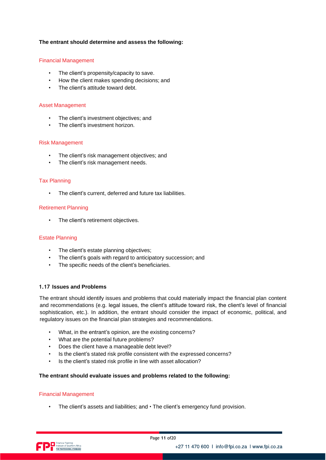#### **The entrant should determine and assess the following:**

#### Financial Management

- The client's propensity/capacity to save.
- How the client makes spending decisions; and
- The client's attitude toward debt.

#### Asset Management

- The client's investment objectives; and
- The client's investment horizon.

#### Risk Management

- The client's risk management objectives; and
- The client's risk management needs.

#### Tax Planning

• The client's current, deferred and future tax liabilities.

#### Retirement Planning

• The client's retirement objectives.

#### Estate Planning

- The client's estate planning objectives;
- The client's goals with regard to anticipatory succession; and
- The specific needs of the client's beneficiaries.

#### **1.17 Issues and Problems**

The entrant should identify issues and problems that could materially impact the financial plan content and recommendations (e.g. legal issues, the client's attitude toward risk, the client's level of financial sophistication, etc.). In addition, the entrant should consider the impact of economic, political, and regulatory issues on the financial plan strategies and recommendations.

- What, in the entrant's opinion, are the existing concerns?
- What are the potential future problems?
- Does the client have a manageable debt level?
- Is the client's stated risk profile consistent with the expressed concerns?
- Is the client's stated risk profile in line with asset allocation?

#### **The entrant should evaluate issues and problems related to the following:**

#### Financial Management

• The client's assets and liabilities; and  $\cdot$  The client's emergency fund provision.

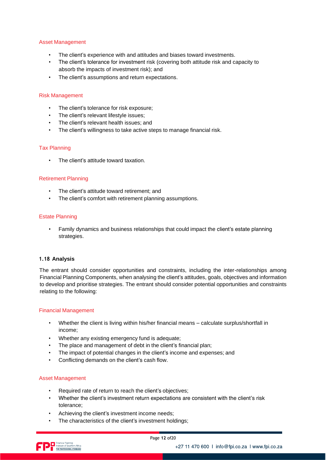#### Asset Management

- The client's experience with and attitudes and biases toward investments.
- The client's tolerance for investment risk (covering both attitude risk and capacity to absorb the impacts of investment risk); and
- The client's assumptions and return expectations.

#### Risk Management

- The client's tolerance for risk exposure;
- The client's relevant lifestyle issues;
- The client's relevant health issues; and
- The client's willingness to take active steps to manage financial risk.

#### Tax Planning

The client's attitude toward taxation.

#### Retirement Planning

- The client's attitude toward retirement; and
- The client's comfort with retirement planning assumptions.

#### Estate Planning

• Family dynamics and business relationships that could impact the client's estate planning strategies.

#### **1.18 Analysis**

The entrant should consider opportunities and constraints, including the inter-relationships among Financial Planning Components, when analysing the client's attitudes, goals, objectives and information to develop and prioritise strategies. The entrant should consider potential opportunities and constraints relating to the following:

#### Financial Management

- Whether the client is living within his/her financial means calculate surplus/shortfall in income;
- Whether any existing emergency fund is adequate;
- The place and management of debt in the client's financial plan;
- The impact of potential changes in the client's income and expenses; and
- Conflicting demands on the client's cash flow.

#### Asset Management

- Required rate of return to reach the client's objectives;
- Whether the client's investment return expectations are consistent with the client's risk tolerance;
- Achieving the client's investment income needs;
- The characteristics of the client's investment holdings;

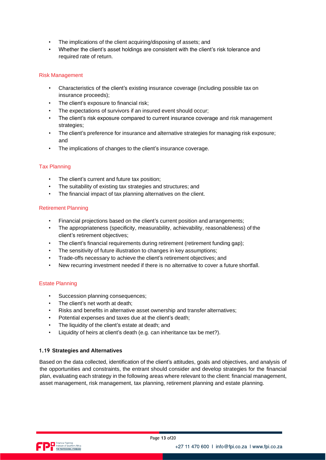- The implications of the client acquiring/disposing of assets; and
- Whether the client's asset holdings are consistent with the client's risk tolerance and required rate of return.

#### Risk Management

- Characteristics of the client's existing insurance coverage (including possible tax on insurance proceeds);
- The client's exposure to financial risk;
- The expectations of survivors if an insured event should occur;
- The client's risk exposure compared to current insurance coverage and risk management strategies;
- The client's preference for insurance and alternative strategies for managing risk exposure; and
- The implications of changes to the client's insurance coverage.

#### Tax Planning

- The client's current and future tax position:
- The suitability of existing tax strategies and structures; and
- The financial impact of tax planning alternatives on the client.

### Retirement Planning

- Financial projections based on the client's current position and arrangements;
- The appropriateness (specificity, measurability, achievability, reasonableness) of the client's retirement objectives;
- The client's financial requirements during retirement (retirement funding gap);
- The sensitivity of future illustration to changes in key assumptions;
- Trade-offs necessary to achieve the client's retirement objectives; and
- New recurring investment needed if there is no alternative to cover a future shortfall.

#### Estate Planning

- Succession planning consequences;
- The client's net worth at death;
- Risks and benefits in alternative asset ownership and transfer alternatives;
- Potential expenses and taxes due at the client's death;
- The liquidity of the client's estate at death; and
- Liquidity of heirs at client's death (e.g. can inheritance tax be met?).

#### **1.19 Strategies and Alternatives**

Based on the data collected, identification of the client's attitudes, goals and objectives, and analysis of the opportunities and constraints, the entrant should consider and develop strategies for the financial plan, evaluating each strategy in the following areas where relevant to the client: financial management, asset management, risk management, tax planning, retirement planning and estate planning.

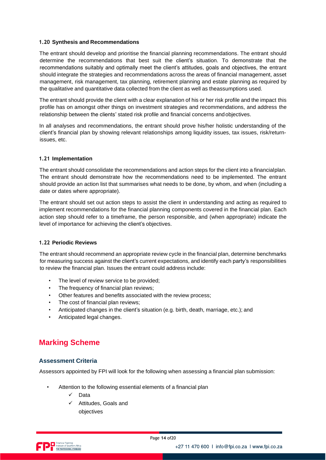#### **1.20 Synthesis and Recommendations**

The entrant should develop and prioritise the financial planning recommendations. The entrant should determine the recommendations that best suit the client's situation. To demonstrate that the recommendations suitably and optimally meet the client's attitudes, goals and objectives, the entrant should integrate the strategies and recommendations across the areas of financial management, asset management, risk management, tax planning, retirement planning and estate planning as required by the qualitative and quantitative data collected from the client as well as theassumptions used.

The entrant should provide the client with a clear explanation of his or her risk profile and the impact this profile has on amongst other things on investment strategies and recommendations, and address the relationship between the clients' stated risk profile and financial concerns andobjectives.

In all analyses and recommendations, the entrant should prove his/her holistic understanding of the client's financial plan by showing relevant relationships among liquidity issues, tax issues, risk/returnissues, etc.

#### **1.21 Implementation**

The entrant should consolidate the recommendations and action steps for the client into a financialplan. The entrant should demonstrate how the recommendations need to be implemented. The entrant should provide an action list that summarises what needs to be done, by whom, and when (including a date or dates where appropriate).

The entrant should set out action steps to assist the client in understanding and acting as required to implement recommendations for the financial planning components covered in the financial plan. Each action step should refer to a timeframe, the person responsible, and (when appropriate) indicate the level of importance for achieving the client's objectives.

#### **1.22 Periodic Reviews**

The entrant should recommend an appropriate review cycle in the financial plan, determine benchmarks for measuring success against the client's current expectations, and identify each party's responsibilities to review the financial plan. Issues the entrant could address include:

- The level of review service to be provided;
- The frequency of financial plan reviews;
- Other features and benefits associated with the review process;
- The cost of financial plan reviews;
- Anticipated changes in the client's situation (e.g. birth, death, marriage, etc.); and
- Anticipated legal changes.

# **Marking Scheme**

## **Assessment Criteria**

Assessors appointed by FPI will look for the following when assessing a financial plan submission:

- Attention to the following essential elements of a financial plan
	- Data
	- Attitudes, Goals and objectives

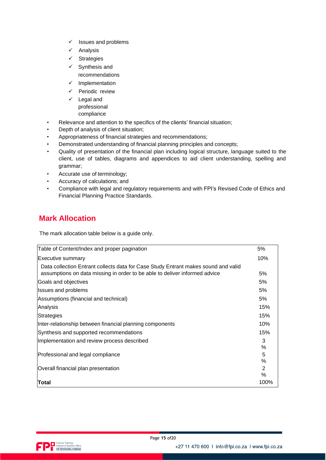- ✓ Issues and problems
- ✓ Analysis
- ✓ Strategies
- ✓ Synthesis and
- recommendations
- ✓ Implementation
- ✓ Periodic review
- ✓ Legal and professional compliance
- Relevance and attention to the specifics of the clients' financial situation;
- Depth of analysis of client situation;
- Appropriateness of financial strategies and recommendations;
- Demonstrated understanding of financial planning principles and concepts;
- Quality of presentation of the financial plan including logical structure, language suited to the client, use of tables, diagrams and appendices to aid client understanding, spelling and grammar;
- Accurate use of terminology;
- Accuracy of calculations; and
- Compliance with legal and regulatory requirements and with FPI's Revised Code of Ethics and Financial Planning Practice Standards.

# **Mark Allocation**

The mark allocation table below is a *guide only*.

| Table of Content/Index and proper pagination                                       | 5%   |
|------------------------------------------------------------------------------------|------|
| Executive summary                                                                  | 10%  |
| Data collection Entrant collects data for Case Study Entrant makes sound and valid |      |
| assumptions on data missing in order to be able to deliver informed advice         | 5%   |
| Goals and objectives                                                               | 5%   |
| <b>Issues and problems</b>                                                         | 5%   |
| Assumptions (financial and technical)                                              | 5%   |
| Analysis                                                                           | 15%  |
| Strategies                                                                         | 15%  |
| Inter-relationship between financial planning components                           | 10%  |
| Synthesis and supported recommendations                                            | 15%  |
| Implementation and review process described                                        | 3    |
|                                                                                    | %    |
| Professional and legal compliance                                                  | 5    |
|                                                                                    | %    |
| Overall financial plan presentation                                                | 2    |
|                                                                                    | $\%$ |
| lTotal                                                                             | 100% |

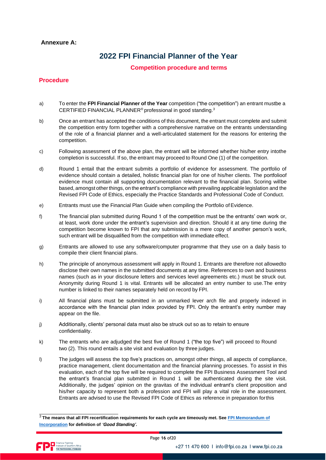### **Annexure A:**

# **2022 FPI Financial Planner of the Year**

**Competition procedure and terms**

#### **Procedure**

- a) To enter the **FPI Financial Planner of the Year** competition ("the competition") an entrant mustbe a CERTIFIED FINANCIAL PLANNER® professional in good standing.<sup>3</sup>
- b) Once an entrant has accepted the conditions of this document, the entrant must complete and submit the competition entry form together with a comprehensive narrative on the entrants understanding of the role of a financial planner and a well-articulated statement for the reasons for entering the competition.
- c) Following assessment of the above plan, the entrant will be informed whether his/her entry intothe completion is successful. If so, the entrant may proceed to Round One (1) of the competition.
- d) Round 1 entail that the entrant submits a portfolio of evidence for assessment. The portfolio of evidence should contain a detailed, holistic financial plan for one of his/her clients. The portfolioof evidence must contain all supporting documentation relevant to the financial plan. Scoring willbe based, amongst other things, on the entrant's compliance with prevailing applicable legislation and the Revised FPI Code of Ethics, especially the Practice Standards and Professional Code of Conduct.
- e) Entrants must use the Financial Plan Guide when compiling the Portfolio ofEvidence.
- f) The financial plan submitted during Round 1 of the competition must be the entrants' own work or, at least, work done under the entrant's supervision and direction. Should it at any time during the competition become known to FPI that any submission is a mere copy of another person's work, such entrant will be disqualified from the competition with immediate effect.
- g) Entrants are allowed to use any software/computer programme that they use on a daily basis to compile their client financial plans.
- h) The principle of anonymous assessment will apply in Round 1. Entrants are therefore not allowedto disclose their own names in the submitted documents at any time. References to own and business names (such as in your disclosure letters and services level agreements etc.) must be struck out. Anonymity during Round 1 is vital. Entrants will be allocated an entry number to use.The entry number is linked to their names separately held on record by FPI.
- i) All financial plans must be submitted in an unmarked lever arch file and properly indexed in accordance with the financial plan index provided by FPI. Only the entrant's entry number may appear on the file.
- j) Additionally, clients' personal data must also be struck out so as to retain to ensure confidentiality.
- k) The entrants who are adjudged the best five of Round 1 ("the top five") will proceed to Round two (2). This round entails a site visit and evaluation by three judges.
- l) The judges will assess the top five's practices on, amongst other things, all aspects of compliance, practice management, client documentation and the financial planning processes. To assist in this evaluation, each of the top five will be required to complete the FPI Business Assessment Tool and the entrant's financial plan submitted in Round 1 will be authenticated during the site visit. Additionally, the judges' opinion on the gravitas of the individual entrant's client proposition and his/her capacity to represent both a profession and FPI will play a vital role in the assessment. Entrants are advised to use the Revised FPI Code of Ethics as reference in preparation forthis

<sup>3</sup>*The means that all FPI recertification requirements for each cycle are timeously met. See [FPI Memorandum o](https://fpi.co.za/wp-content/uploads/2022/03/MEMORANDUM_OF_INCORPORATION-1.pdf)[f](https://www.fpi.co.za/documents/Memorandum%20of%20Incorporation.pdf) [Incorporation](https://www.fpi.co.za/documents/Memorandum%20of%20Incorporation.pdf) for definition of 'Good Standing'.*

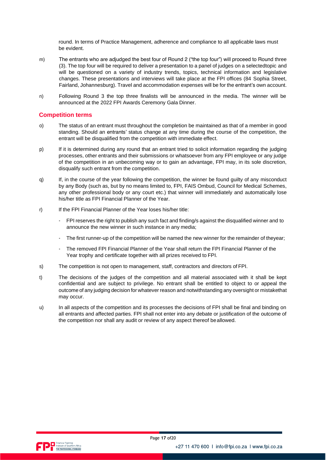round. In terms of Practice Management, adherence and compliance to all applicable laws must be evident.

- m) The entrants who are adjudged the best four of Round 2 ("the top four") will proceed to Round three (3). The top four will be required to deliver a presentation to a panel of judges on a selectedtopic and will be questioned on a variety of industry trends, topics, technical information and legislative changes. These presentations and interviews will take place at the FPI offices (84 Sophia Street, Fairland, Johannesburg). Travel and accommodation expenses will be for the entrant's own account.
- n) Following Round 3 the top three finalists will be announced in the media. The winner will be announced at the 2022 FPI Awards Ceremony Gala Dinner.

#### **Competition terms**

- o) The status of an entrant must throughout the completion be maintained as that of a member in good standing. Should an entrants' status change at *any time* during the course of the competition, the entrant will be disqualified from the competition with immediate effect.
- p) If it is determined during any round that an entrant tried to solicit information regarding the judging processes, other entrants and their submissions or whatsoever from any FPI employee or any judge of the competition in an *unbecoming* way or to gain an advantage, FPI may, in its sole discretion, disqualify such entrant from the competition.
- q) If, in the course of the year following the competition, the winner be found guilty of any misconduct by any Body (such as, *but by no means limited to,* FPI, FAIS Ombud, Council for Medical Schemes, any other professional body or any court etc.) that winner will immediately and automatically lose his/her title as FPI Financial Planner of the Year.
- r) If the FPI Financial Planner of the Year loses his/her title:
	- FPI reserves the right to publish any such fact and finding/s against the disqualified winner and to announce the new winner in such instance in any media;
	- The first runner-up of the competition will be named the new winner for the remainder of theyear;
	- The removed FPI Financial Planner of the Year shall return the FPI Financial Planner of the Year trophy and certificate together with all prizes received to FPI.
- s) The competition is not open to management, staff, contractors and directors of FPI.
- t) The decisions of the judges of the competition and all material associated with it shall be kept confidential and are subject to privilege. No entrant shall be entitled to object to or appeal the outcome of any judging decision for whatever reason and notwithstanding any oversight or mistakethat may occur.
- u) In all aspects of the competition and its processes the decisions of FPI shall be final and binding on all entrants and affected parties. FPI shall not enter into any debate or justification of the outcome of the competition nor shall any audit or review of any aspect thereof beallowed.

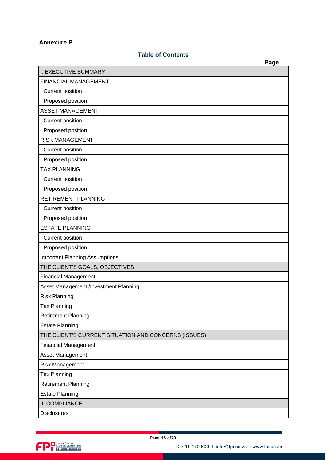## **Annexure B**

## **Table of Contents**

|                                                      | Page |
|------------------------------------------------------|------|
| <b>I. EXECUTIVE SUMMARY</b>                          |      |
| <b>FINANCIAL MANAGEMENT</b>                          |      |
| Current position                                     |      |
| Proposed position                                    |      |
| <b>ASSET MANAGEMENT</b>                              |      |
| Current position                                     |      |
| Proposed position                                    |      |
| <b>RISK MANAGEMENT</b>                               |      |
| <b>Current position</b>                              |      |
| Proposed position                                    |      |
| <b>TAX PLANNING</b>                                  |      |
| Current position                                     |      |
| Proposed position                                    |      |
| <b>RETIREMENT PLANNING</b>                           |      |
| Current position                                     |      |
| Proposed position                                    |      |
| <b>ESTATE PLANNING</b>                               |      |
| Current position                                     |      |
| Proposed position                                    |      |
| <b>Important Planning Assumptions</b>                |      |
| THE CLIENT'S GOALS, OBJECTIVES                       |      |
| <b>Financial Management</b>                          |      |
| Asset Management /Investment Planning                |      |
| <b>Risk Planning</b>                                 |      |
| <b>Tax Planning</b>                                  |      |
| <b>Retirement Planning</b>                           |      |
| <b>Estate Planning</b>                               |      |
| THE CLIENT'S CURRENT SITUATION AND CONCERNS (ISSUES) |      |
| <b>Financial Management</b>                          |      |
| Asset Management                                     |      |
| <b>Risk Management</b>                               |      |
| <b>Tax Planning</b>                                  |      |
| <b>Retirement Planning</b>                           |      |
| <b>Estate Planning</b>                               |      |
| II. COMPLIANCE                                       |      |
| <b>Disclosures</b>                                   |      |

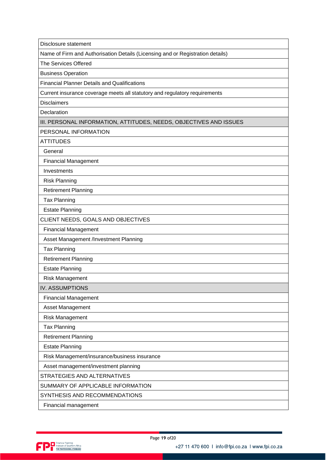Disclosure statement

Name of Firm and Authorisation Details (Licensing and or Registration details)

The Services Offered

Business Operation

Financial Planner Details and Qualifications

Current insurance coverage meets all statutory and regulatory requirements

**Disclaimers** 

**Declaration** 

III. PERSONAL INFORMATION, ATTITUDES, NEEDS, OBJECTIVES AND ISSUES

PERSONAL INFORMATION

ATTITUDES

General

Financial Management

Investments

Risk Planning

Retirement Planning

Tax Planning

Estate Planning

CLIENT NEEDS, GOALS AND OBJECTIVES

Financial Management

Asset Management /Investment Planning

Tax Planning

Retirement Planning

Estate Planning

Risk Management

IV. ASSUMPTIONS

Financial Management

Asset Management

Risk Management

Tax Planning

Retirement Planning

Estate Planning

Risk Management/insurance/business insurance

Asset management/investment planning

STRATEGIES AND ALTERNATIVES

SUMMARY OF APPLICABLE INFORMATION

SYNTHESIS AND RECOMMENDATIONS

Financial management